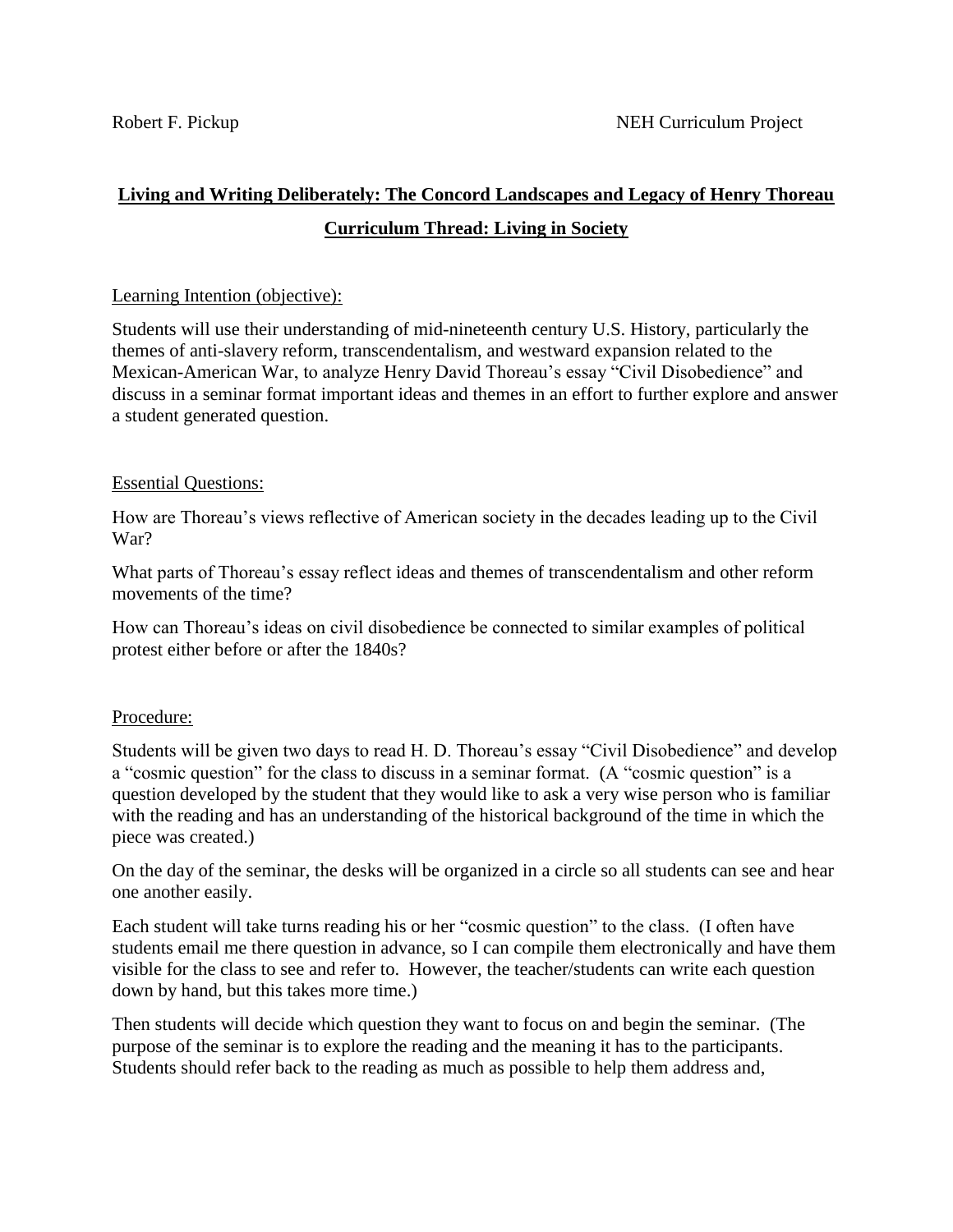# **Living and Writing Deliberately: The Concord Landscapes and Legacy of Henry Thoreau Curriculum Thread: Living in Society**

### Learning Intention (objective):

Students will use their understanding of mid-nineteenth century U.S. History, particularly the themes of anti-slavery reform, transcendentalism, and westward expansion related to the Mexican-American War, to analyze Henry David Thoreau's essay "Civil Disobedience" and discuss in a seminar format important ideas and themes in an effort to further explore and answer a student generated question.

## Essential Questions:

How are Thoreau's views reflective of American society in the decades leading up to the Civil War?

What parts of Thoreau's essay reflect ideas and themes of transcendentalism and other reform movements of the time?

How can Thoreau's ideas on civil disobedience be connected to similar examples of political protest either before or after the 1840s?

## Procedure:

Students will be given two days to read H. D. Thoreau's essay "Civil Disobedience" and develop a "cosmic question" for the class to discuss in a seminar format. (A "cosmic question" is a question developed by the student that they would like to ask a very wise person who is familiar with the reading and has an understanding of the historical background of the time in which the piece was created.)

On the day of the seminar, the desks will be organized in a circle so all students can see and hear one another easily.

Each student will take turns reading his or her "cosmic question" to the class. (I often have students email me there question in advance, so I can compile them electronically and have them visible for the class to see and refer to. However, the teacher/students can write each question down by hand, but this takes more time.)

Then students will decide which question they want to focus on and begin the seminar. (The purpose of the seminar is to explore the reading and the meaning it has to the participants. Students should refer back to the reading as much as possible to help them address and,